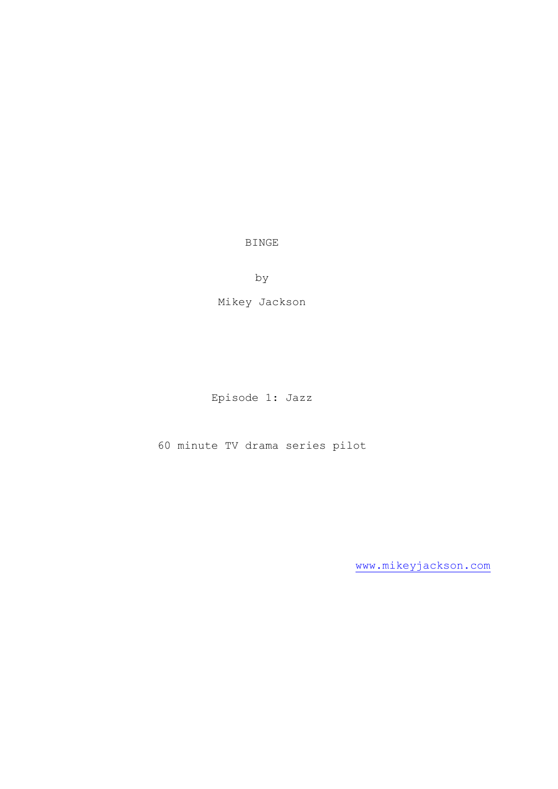BINGE

by

Mikey Jackson

Episode 1: Jazz

60 minute TV drama series pilot

[www.mikeyjackson.com](http://www.mikeyjackson.com/)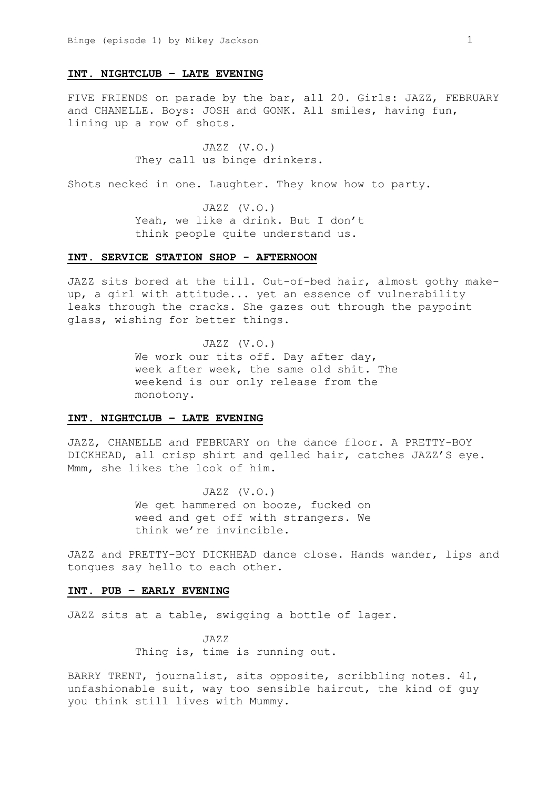#### **INT. NIGHTCLUB – LATE EVENING**

FIVE FRIENDS on parade by the bar, all 20. Girls: JAZZ, FEBRUARY and CHANELLE. Boys: JOSH and GONK. All smiles, having fun, lining up a row of shots.

> JAZZ (V.O.) They call us binge drinkers.

Shots necked in one. Laughter. They know how to party.

JAZZ (V.O.) Yeah, we like a drink. But I don't think people quite understand us.

# **INT. SERVICE STATION SHOP - AFTERNOON**

JAZZ sits bored at the till. Out-of-bed hair, almost gothy makeup, a girl with attitude... yet an essence of vulnerability leaks through the cracks. She gazes out through the paypoint glass, wishing for better things.

> JAZZ (V.O.) We work our tits off. Day after day, week after week, the same old shit. The weekend is our only release from the monotony.

### **INT. NIGHTCLUB – LATE EVENING**

JAZZ, CHANELLE and FEBRUARY on the dance floor. A PRETTY-BOY DICKHEAD, all crisp shirt and gelled hair, catches JAZZ'S eye. Mmm, she likes the look of him.

> JAZZ (V.O.) We get hammered on booze, fucked on weed and get off with strangers. We think we're invincible.

JAZZ and PRETTY-BOY DICKHEAD dance close. Hands wander, lips and tongues say hello to each other.

# **INT. PUB – EARLY EVENING**

JAZZ sits at a table, swigging a bottle of lager.

JAZZ Thing is, time is running out.

BARRY TRENT, journalist, sits opposite, scribbling notes. 41, unfashionable suit, way too sensible haircut, the kind of guy you think still lives with Mummy.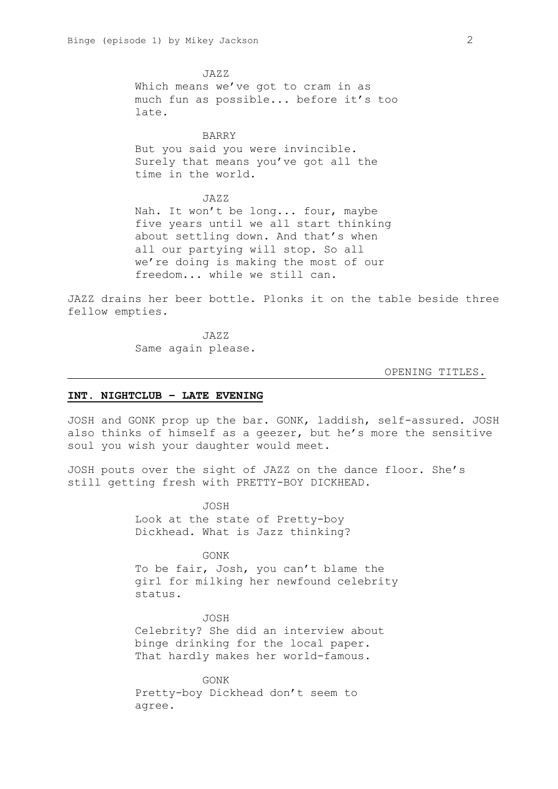JAZZ Which means we've got to cram in as much fun as possible... before it's too late.

## BARRY

But you said you were invincible. Surely that means you've got all the time in the world.

JAZZ Nah. It won't be long... four, maybe five years until we all start thinking about settling down. And that's when all our partying will stop. So all we're doing is making the most of our freedom... while we still can.

JAZZ drains her beer bottle. Plonks it on the table beside three fellow empties.

> JAZZ Same again please.

#### OPENING TITLES.

#### **INT. NIGHTCLUB – LATE EVENING**

JOSH and GONK prop up the bar. GONK, laddish, self-assured. JOSH also thinks of himself as a geezer, but he's more the sensitive soul you wish your daughter would meet.

JOSH pouts over the sight of JAZZ on the dance floor. She's still getting fresh with PRETTY-BOY DICKHEAD.

> JOSH Look at the state of Pretty-boy Dickhead. What is Jazz thinking?

GONK To be fair, Josh, you can't blame the girl for milking her newfound celebrity status.

JOSH Celebrity? She did an interview about binge drinking for the local paper. That hardly makes her world-famous.

GONK Pretty-boy Dickhead don't seem to agree.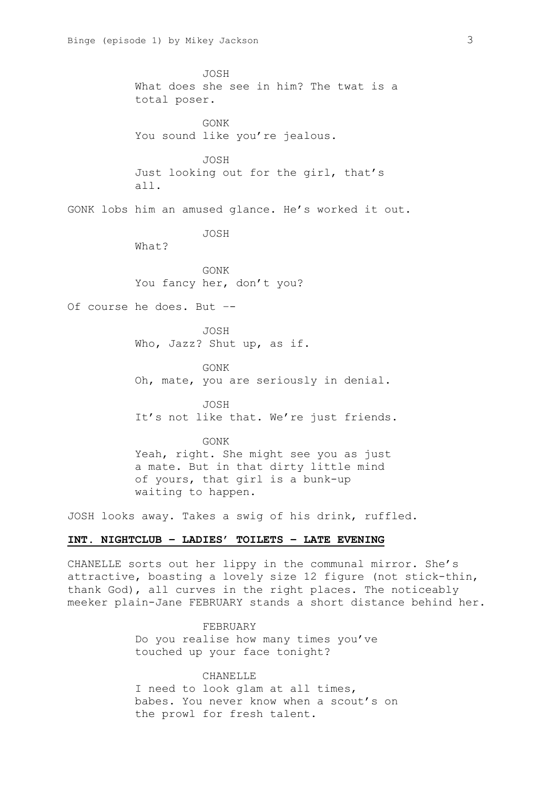JOSH What does she see in him? The twat is a total poser. GONK You sound like you're jealous. JOSH Just looking out for the girl, that's all. GONK lobs him an amused glance. He's worked it out. JOSH What? GONK You fancy her, don't you? Of course he does. But –- JOSH Who, Jazz? Shut up, as if. GONK Oh, mate, you are seriously in denial. JOSH It's not like that. We're just friends. GONK Yeah, right. She might see you as just a mate. But in that dirty little mind of yours, that girl is a bunk-up waiting to happen.

JOSH looks away. Takes a swig of his drink, ruffled.

## **INT. NIGHTCLUB – LADIES' TOILETS – LATE EVENING**

CHANELLE sorts out her lippy in the communal mirror. She's attractive, boasting a lovely size 12 figure (not stick-thin, thank God), all curves in the right places. The noticeably meeker plain-Jane FEBRUARY stands a short distance behind her.

> FEBRUARY Do you realise how many times you've touched up your face tonight?

CHANELLE I need to look glam at all times, babes. You never know when a scout's on the prowl for fresh talent.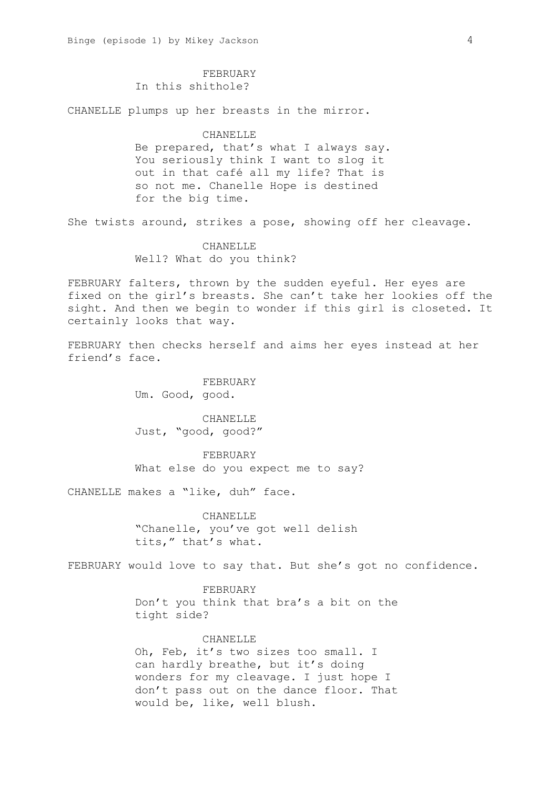## FEBRUARY

In this shithole?

CHANELLE plumps up her breasts in the mirror.

#### CHANELLE

Be prepared, that's what I always say. You seriously think I want to slog it out in that café all my life? That is so not me. Chanelle Hope is destined for the big time.

She twists around, strikes a pose, showing off her cleavage.

# CHANELLE Well? What do you think?

FEBRUARY falters, thrown by the sudden eyeful. Her eyes are fixed on the girl's breasts. She can't take her lookies off the sight. And then we begin to wonder if this girl is closeted. It certainly looks that way.

FEBRUARY then checks herself and aims her eyes instead at her friend's face.

> FEBRUARY Um. Good, good.

CHANELLE Just, "good, good?"

FEBRUARY What else do you expect me to say?

CHANELLE makes a "like, duh" face.

CHANELLE "Chanelle, you've got well delish tits," that's what.

FEBRUARY would love to say that. But she's got no confidence.

FEBRUARY Don't you think that bra's a bit on the tight side?

#### CHANELLE

Oh, Feb, it's two sizes too small. I can hardly breathe, but it's doing wonders for my cleavage. I just hope I don't pass out on the dance floor. That would be, like, well blush.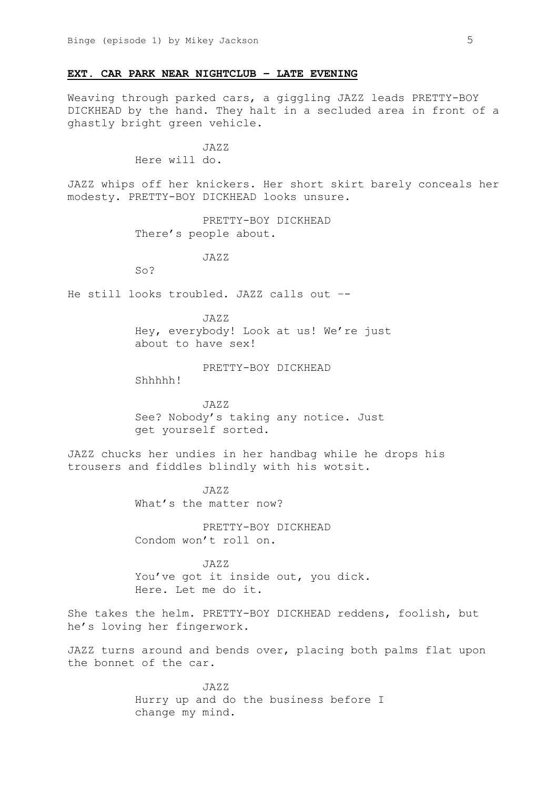## **EXT. CAR PARK NEAR NIGHTCLUB – LATE EVENING**

Weaving through parked cars, a giggling JAZZ leads PRETTY-BOY DICKHEAD by the hand. They halt in a secluded area in front of a ghastly bright green vehicle.

> $JAYZ$ Here will do.

JAZZ whips off her knickers. Her short skirt barely conceals her modesty. PRETTY-BOY DICKHEAD looks unsure.

> PRETTY-BOY DICKHEAD There's people about.

> > JAZZ

So?

He still looks troubled. JAZZ calls out –-

JAZZ Hey, everybody! Look at us! We're just about to have sex!

PRETTY-BOY DICKHEAD

Shhhhh!

JAZZ See? Nobody's taking any notice. Just get yourself sorted.

JAZZ chucks her undies in her handbag while he drops his trousers and fiddles blindly with his wotsit.

> JAZZ What's the matter now?

PRETTY-BOY DICKHEAD Condom won't roll on.

JAZZ You've got it inside out, you dick. Here. Let me do it.

She takes the helm. PRETTY-BOY DICKHEAD reddens, foolish, but he's loving her fingerwork.

JAZZ turns around and bends over, placing both palms flat upon the bonnet of the car.

> JAZZ Hurry up and do the business before I change my mind.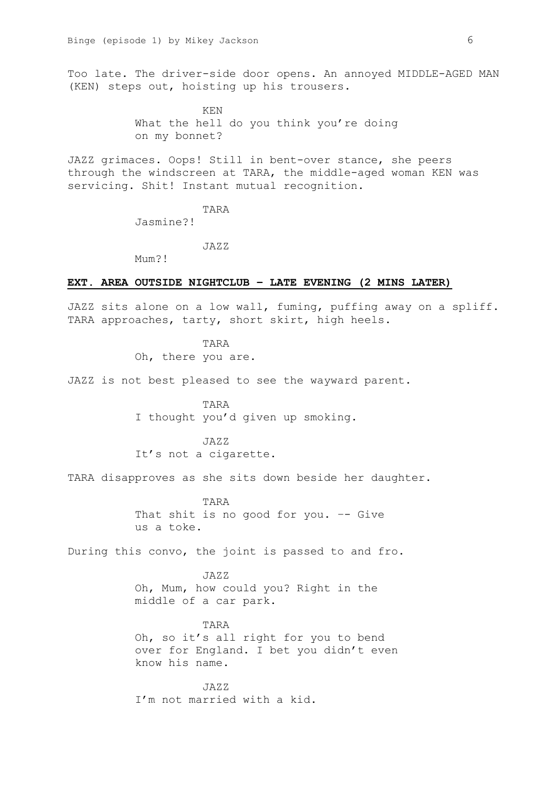Too late. The driver-side door opens. An annoyed MIDDLE-AGED MAN (KEN) steps out, hoisting up his trousers.

> KEN What the hell do you think you're doing on my bonnet?

JAZZ grimaces. Oops! Still in bent-over stance, she peers through the windscreen at TARA, the middle-aged woman KEN was servicing. Shit! Instant mutual recognition.

TARA

Jasmine?!

JAZZ

Mum?!

### **EXT. AREA OUTSIDE NIGHTCLUB – LATE EVENING (2 MINS LATER)**

JAZZ sits alone on a low wall, fuming, puffing away on a spliff. TARA approaches, tarty, short skirt, high heels.

> TARA Oh, there you are.

JAZZ is not best pleased to see the wayward parent.

TARA I thought you'd given up smoking.

JAZZ It's not a cigarette.

TARA disapproves as she sits down beside her daughter.

TARA That shit is no good for you. –- Give us a toke.

During this convo, the joint is passed to and fro.

JAZZ Oh, Mum, how could you? Right in the middle of a car park.

TARA Oh, so it's all right for you to bend over for England. I bet you didn't even know his name.

JAZZ I'm not married with a kid.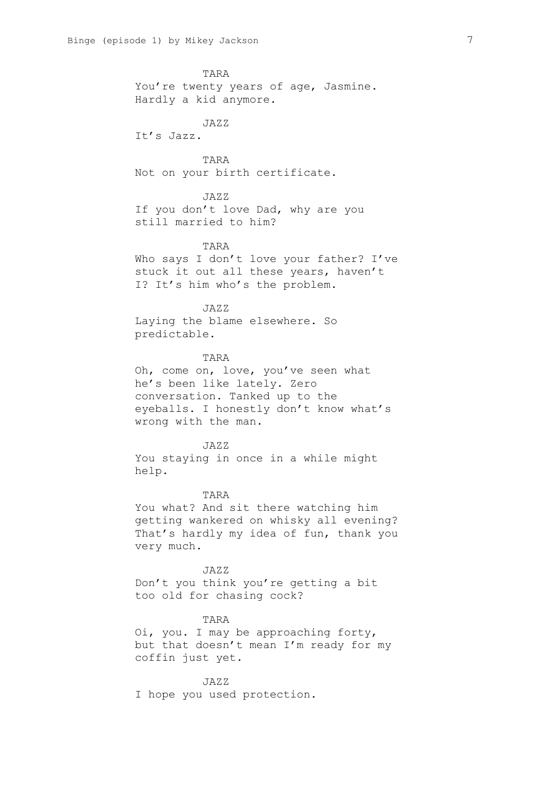TARA You're twenty years of age, Jasmine. Hardly a kid anymore.

JAZZ It's Jazz.

TARA Not on your birth certificate.

JAZZ If you don't love Dad, why are you still married to him?

TARA Who says I don't love your father? I've stuck it out all these years, haven't I? It's him who's the problem.

JAZZ Laying the blame elsewhere. So predictable.

TARA Oh, come on, love, you've seen what he's been like lately. Zero conversation. Tanked up to the eyeballs. I honestly don't know what's wrong with the man.

JAZZ You staying in once in a while might help.

TARA

You what? And sit there watching him getting wankered on whisky all evening? That's hardly my idea of fun, thank you very much.

JAZZ Don't you think you're getting a bit too old for chasing cock?

TARA

Oi, you. I may be approaching forty, but that doesn't mean I'm ready for my coffin just yet.

JAZZ I hope you used protection.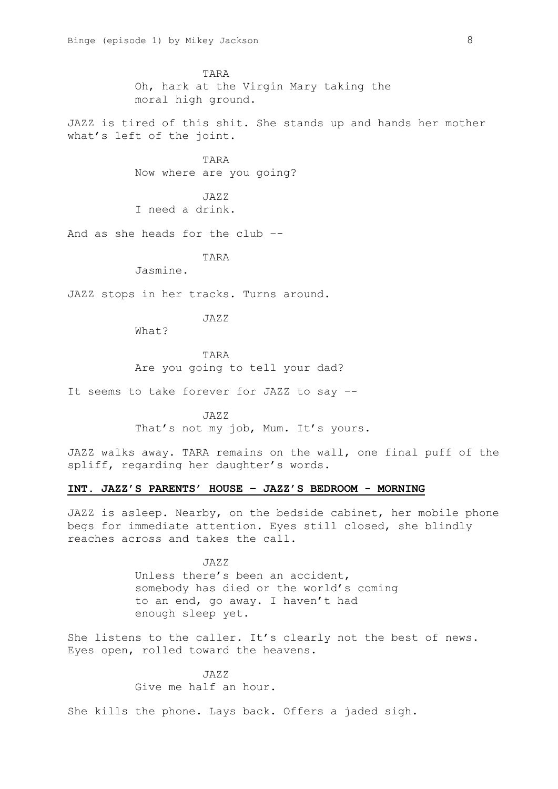TARA Oh, hark at the Virgin Mary taking the moral high ground.

JAZZ is tired of this shit. She stands up and hands her mother what's left of the joint.

> TARA Now where are you going?

JAZZ I need a drink.

And as she heads for the club –-

TARA

Jasmine.

JAZZ stops in her tracks. Turns around.

JAZZ

What?

TARA Are you going to tell your dad?

It seems to take forever for JAZZ to say –-

JAZZ That's not my job, Mum. It's yours.

JAZZ walks away. TARA remains on the wall, one final puff of the spliff, regarding her daughter's words.

# **INT. JAZZ'S PARENTS' HOUSE – JAZZ'S BEDROOM - MORNING**

JAZZ is asleep. Nearby, on the bedside cabinet, her mobile phone begs for immediate attention. Eyes still closed, she blindly reaches across and takes the call.

> JAZZ Unless there's been an accident, somebody has died or the world's coming to an end, go away. I haven't had enough sleep yet.

She listens to the caller. It's clearly not the best of news. Eyes open, rolled toward the heavens.

> $JAXZ$ Give me half an hour.

She kills the phone. Lays back. Offers a jaded sigh.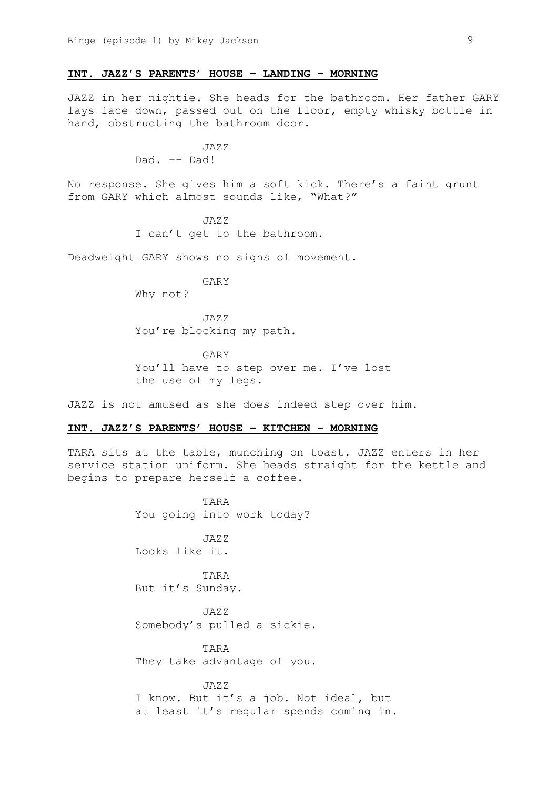### **INT. JAZZ'S PARENTS' HOUSE – LANDING – MORNING**

JAZZ in her nightie. She heads for the bathroom. Her father GARY lays face down, passed out on the floor, empty whisky bottle in hand, obstructing the bathroom door.

> $JAYZ$ Dad. –- Dad!

No response. She gives him a soft kick. There's a faint grunt from GARY which almost sounds like, "What?"

> JAZZ I can't get to the bathroom.

Deadweight GARY shows no signs of movement.

GARY Why not?

JAZZ You're blocking my path.

GARY You'll have to step over me. I've lost the use of my legs.

JAZZ is not amused as she does indeed step over him.

#### **INT. JAZZ'S PARENTS' HOUSE – KITCHEN - MORNING**

TARA sits at the table, munching on toast. JAZZ enters in her service station uniform. She heads straight for the kettle and begins to prepare herself a coffee.

> TARA You going into work today?

JAZZ Looks like it.

TARA But it's Sunday.

JAZZ Somebody's pulled a sickie.

TARA They take advantage of you.

JAZZ I know. But it's a job. Not ideal, but at least it's regular spends coming in.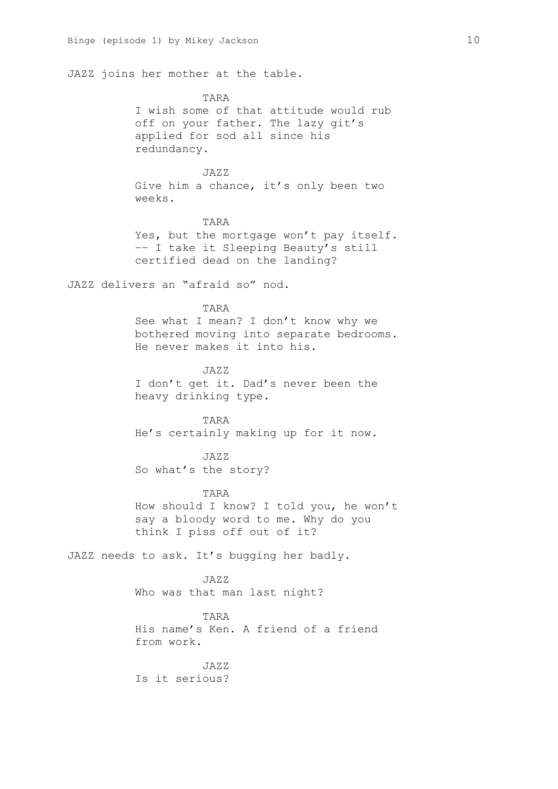JAZZ joins her mother at the table.

TARA I wish some of that attitude would rub off on your father. The lazy git's applied for sod all since his redundancy.

# JAZZ

Give him a chance, it's only been two weeks.

## TARA

Yes, but the mortgage won't pay itself. –– I take it Sleeping Beauty's still certified dead on the landing?

JAZZ delivers an "afraid so" nod.

#### TARA

See what I mean? I don't know why we bothered moving into separate bedrooms. He never makes it into his.

JAZZ I don't get it. Dad's never been the heavy drinking type.

TARA He's certainly making up for it now.

#### JAZZ

So what's the story?

#### TARA

How should I know? I told you, he won't say a bloody word to me. Why do you think I piss off out of it?

JAZZ needs to ask. It's bugging her badly.

JAZZ Who was that man last night?

TARA His name's Ken. A friend of a friend from work.

 $JAZZ$ Is it serious?